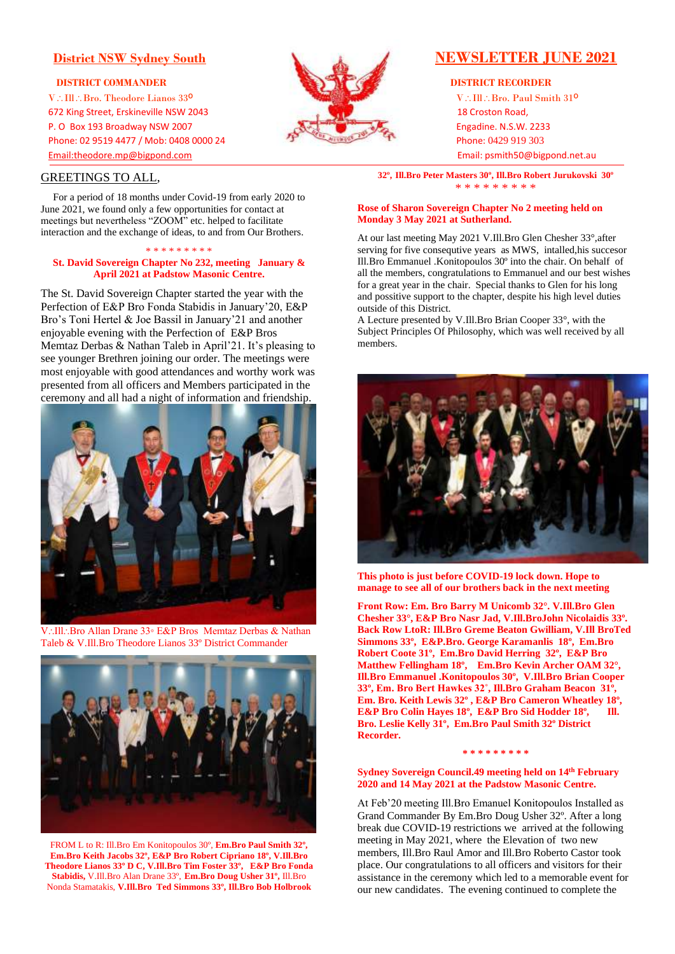V.III. Bro. Theodore Lianos 33<sup>o</sup> VIII. Bro. Paul Smith 31<sup>o</sup> 672 King Street, Erskineville NSW 2043 18 Croston Road, P. O Box 193 Broadway NSW 2007 Engadine. N.S.W. 2233 Phone: 02 9519 4477 / Mob: 0408 0000 24 Phone: 0429 919 303 [Email:theodore.mp@bigpond.com](mailto:Email:theodore.mp@bigpond.com) Email: psmith50@bigpond.net.au

# GREETINGS TO ALL,

 For a period of 18 months under Covid-19 from early 2020 to June 2021, we found only a few opportunities for contact at meetings but nevertheless "ZOOM" etc. helped to facilitate interaction and the exchange of ideas, to and from Our Brothers.

#### \* \* \* \* \* \* \* \*

### **St. David Sovereign Chapter No 232, meeting January & April 2021 at Padstow Masonic Centre.**

The St. David Sovereign Chapter started the year with the Perfection of E&P Bro Fonda Stabidis in January'20, E&P Bro's Toni Hertel & Joe Bassil in January'21 and another enjoyable evening with the Perfection of E&P Bros Memtaz Derbas & Nathan Taleb in April'21. It's pleasing to see younger Brethren joining our order. The meetings were most enjoyable with good attendances and worthy work was presented from all officers and Members participated in the ceremony and all had a night of information and friendship.



V∴Ill∴Bro Allan Drane 33° E&P Bros Memtaz Derbas & Nathan Taleb & V.Ill.Bro Theodore Lianos 33º District Commander



FROM L to R: Ill.Bro Em Konitopoulos 30º, **Em.Bro Paul Smith 32º, Em.Bro Keith Jacobs 32º, E&P Bro Robert Cipriano 18º, V.Ill.Bro Theodore Lianos 33º D C, V.Ill.Bro Tim Foster 33º, E&P Bro Fonda Stabidis,** V.Ill.Bro Alan Drane 33º, **Em.Bro Doug Usher 31º,** Ill.Bro Nonda Stamatakis, **V.Ill.Bro Ted Simmons 33º, Ill.Bro Bob Holbrook** 



# **District NSW Sydney South NEWSLETTER** JUNE 2021

**32º, Ill.Bro Peter Masters 30º, Ill.Bro Robert Jurukovski 30º** \* \* \* \* \* \* \* \*

## **Rose of Sharon Sovereign Chapter No 2 meeting held on Monday 3 May 2021 at Sutherland.**

At our last meeting May 2021 V.Ill.Bro Glen Chesher 33°,after serving for five consequtive years as MWS, intalled,his succesor Ill.Bro Emmanuel .Konitopoulos 30º into the chair. On behalf of all the members, congratulations to Emmanuel and our best wishes for a great year in the chair. Special thanks to Glen for his long and possitive support to the chapter, despite his high level duties outside of this District.

A Lecture presented by V.Ill.Bro Brian Cooper 33°, with the Subject Principles Of Philosophy, which was well received by all members.



**This photo is just before COVID-19 lock down. Hope to manage to see all of our brothers back in the next meeting**

**Front Row: Em. Bro Barry M Unicomb 32°. V.Ill.Bro Glen Chesher 33°, E&P Bro Nasr Jad, V.Ill.BroJohn Nicolaidis 33º. Back Row LtoR: Ill.Bro Greme Beaton Gwilliam, V.Ill BroTed Simmons 33º, E&P.Bro. George Karamanlis 18º, Em.Bro Robert Coote 31º, Em.Bro David Herring 32º, E&P Bro Matthew Fellingham 18º, Em.Bro Kevin Archer OAM 32°, Ill.Bro Emmanuel .Konitopoulos 30º, V.Ill.Bro Brian Cooper 33º, Em. Bro Bert Hawkes 32˚, Ill.Bro Graham Beacon 31º, Em. Bro. Keith Lewis 32º , E&P Bro Cameron Wheatley 18º,**  E&P Bro Colin Hayes 18<sup>°</sup>, E&P Bro Sid Hodder 18<sup>°</sup>, Ill. **Bro. Leslie Kelly 31º, Em.Bro Paul Smith 32º District Recorder.** 

#### **\* \* \* \* \* \* \* \* \***

### **Sydney Sovereign Council.49 meeting held on 14 th February 2020 and 14 May 2021 at the Padstow Masonic Centre.**

At Feb'20 meeting Ill.Bro Emanuel Konitopoulos Installed as Grand Commander By Em.Bro Doug Usher 32º. After a long break due COVID-19 restrictions we arrived at the following meeting in May 2021, where the Elevation of two new members, Ill.Bro Raul Amor and Ill.Bro Roberto Castor took place. Our congratulations to all officers and visitors for their assistance in the ceremony which led to a memorable event for our new candidates. The evening continued to complete the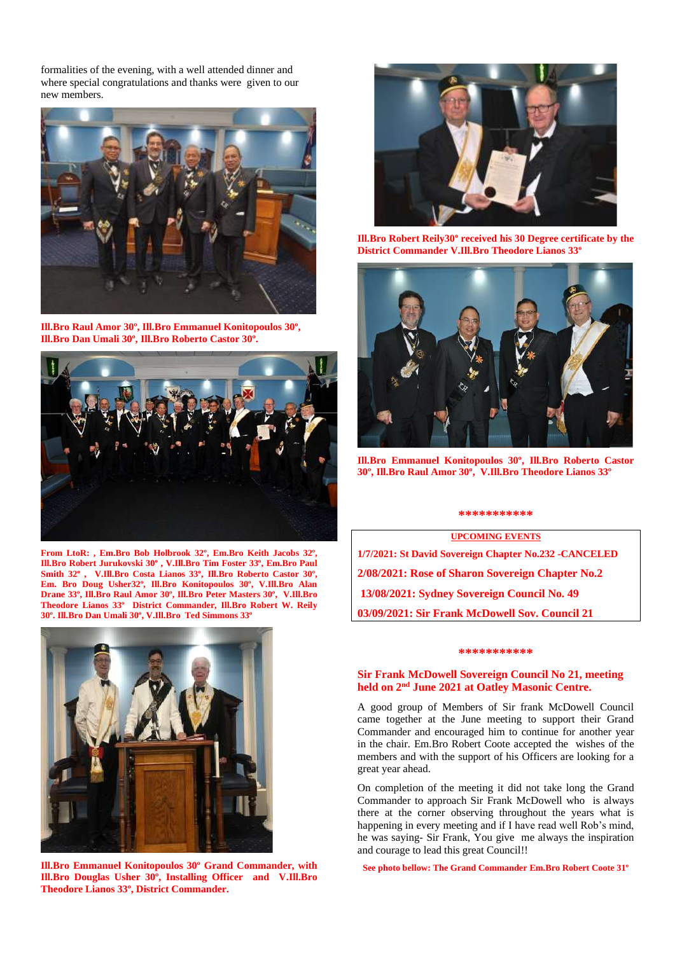formalities of the evening, with a well attended dinner and where special congratulations and thanks were given to our new members.



**Ill.Bro Raul Amor 30º, Ill.Bro Emmanuel Konitopoulos 30º, Ill.Bro Dan Umali 30º, Ill.Bro Roberto Castor 30º.**



**From LtoR: , Em.Bro Bob Holbrook 32º, Em.Bro Keith Jacobs 32º, Ill.Bro Robert Jurukovski 30º , V.Ill.Bro Tim Foster 33º, Em.Bro Paul Smith 32º , V.Ill.Bro Costa Lianos 33º, Ill.Bro Roberto Castor 30º, Em. Bro Doug Usher32º, Ill.Bro Konitopoulos 30º, V.Ill.Bro Alan Drane 33º, Ill.Bro Raul Amor 30º, Ill.Bro Peter Masters 30º, V.Ill.Bro Theodore Lianos 33º District Commander, Ill.Bro Robert W. Reily 30º. Ill.Bro Dan Umali 30º, V.Ill.Bro Ted Simmons 33º**



**Ill.Bro Emmanuel Konitopoulos 30º Grand Commander, with Ill.Bro Douglas Usher 30º, Installing Officer and V.Ill.Bro Theodore Lianos 33º, District Commander.** 



**Ill.Bro Robert Reily30º received his 30 Degree certificate by the District Commander V.Ill.Bro Theodore Lianos 33º**



**Ill.Bro Emmanuel Konitopoulos 30º, Ill.Bro Roberto Castor 30º, Ill.Bro Raul Amor 30º, V.Ill.Bro Theodore Lianos 33º**

## **\*\*\*\*\*\*\*\*\*\*\***

**UPCOMING EVENTS 1/7/2021: St David Sovereign Chapter No.232 -CANCELED 2/08/2021: Rose of Sharon Sovereign Chapter No.2 13/08/2021: Sydney Sovereign Council No. 49 03/09/2021: Sir Frank McDowell Sov. Council 21**

### **\*\*\*\*\*\*\*\*\*\*\***

## **Sir Frank McDowell Sovereign Council No 21, meeting** held on 2<sup>nd</sup> June 2021 at Oatley Masonic Centre.

A good group of Members of Sir frank McDowell Council came together at the June meeting to support their Grand Commander and encouraged him to continue for another year in the chair. Em.Bro Robert Coote accepted the wishes of the members and with the support of his Officers are looking for a great year ahead.

On completion of the meeting it did not take long the Grand Commander to approach Sir Frank McDowell who is always there at the corner observing throughout the years what is happening in every meeting and if I have read well Rob's mind, he was saying- Sir Frank, You give me always the inspiration and courage to lead this great Council!!

**See photo bellow: The Grand Commander Em.Bro Robert Coote 31º**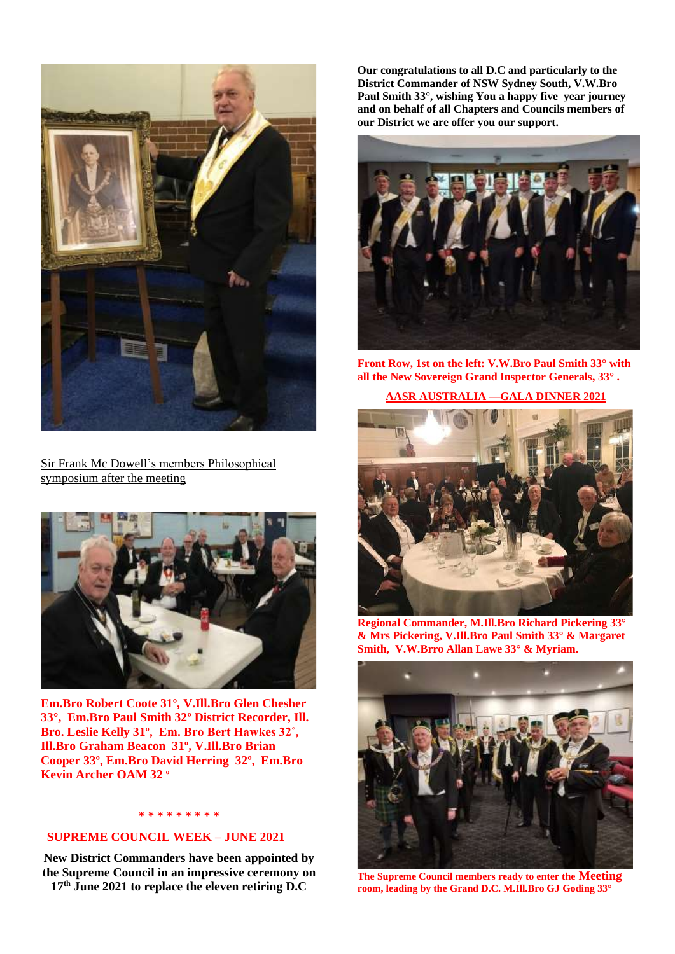

Sir Frank Mc Dowell's members Philosophical symposium after the meeting



**Em.Bro Robert Coote 31º, V.Ill.Bro Glen Chesher 33°, Em.Bro Paul Smith 32º District Recorder, Ill. Bro. Leslie Kelly 31º, Em. Bro Bert Hawkes 32˚, Ill.Bro Graham Beacon 31º, V.Ill.Bro Brian Cooper 33º, Em.Bro David Herring 32º, Em.Bro Kevin Archer OAM 32 º** 

## **\* \* \* \* \* \* \* \* \***

# **SUPREME COUNCIL WEEK – JUNE 2021**

**New District Commanders have been appointed by the Supreme Council in an impressive ceremony on 17th June 2021 to replace the eleven retiring D.C**

**Our congratulations to all D.C and particularly to the District Commander of NSW Sydney South, V.W.Bro Paul Smith 33°, wishing You a happy five year journey and on behalf of all Chapters and Councils members of our District we are offer you our support.**



**Front Row, 1st on the left: V.W.Bro Paul Smith 33° with all the New Sovereign Grand Inspector Generals, 33° .**

# **AASR AUSTRALIA —GALA DINNER 2021**



**Regional Commander, M.Ill.Bro Richard Pickering 33° & Mrs Pickering, V.Ill.Bro Paul Smith 33° & Margaret Smith, V.W.Brro Allan Lawe 33° & Myriam.**



**The Supreme Council members ready to enter the Meeting room, leading by the Grand D.C. M.Ill.Bro GJ Goding 33°**